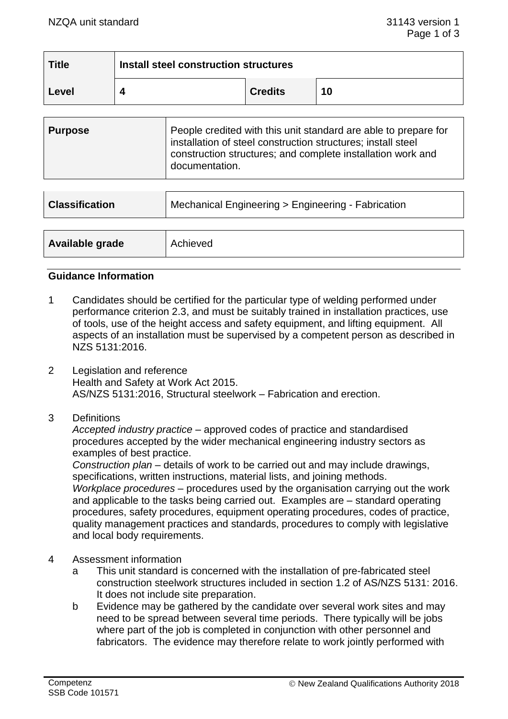| <b>Title</b> | Install steel construction structures |                |    |
|--------------|---------------------------------------|----------------|----|
| Level        |                                       | <b>Credits</b> | 10 |

| <b>Purpose</b> | People credited with this unit standard are able to prepare for<br>installation of steel construction structures; install steel<br>construction structures; and complete installation work and<br>documentation. |
|----------------|------------------------------------------------------------------------------------------------------------------------------------------------------------------------------------------------------------------|
|----------------|------------------------------------------------------------------------------------------------------------------------------------------------------------------------------------------------------------------|

| <b>Classification</b> | Mechanical Engineering > Engineering - Fabrication |  |
|-----------------------|----------------------------------------------------|--|
|                       |                                                    |  |
| Available grade       | Achieved                                           |  |

### **Guidance Information**

- 1 Candidates should be certified for the particular type of welding performed under performance criterion 2.3, and must be suitably trained in installation practices, use of tools, use of the height access and safety equipment, and lifting equipment. All aspects of an installation must be supervised by a competent person as described in NZS 5131:2016.
- 2 Legislation and reference Health and Safety at Work Act 2015. AS/NZS 5131:2016, Structural steelwork – Fabrication and erection.
- 3 Definitions

*Accepted industry practice –* approved codes of practice and standardised procedures accepted by the wider mechanical engineering industry sectors as examples of best practice.

*Construction plan* – details of work to be carried out and may include drawings, specifications, written instructions, material lists, and joining methods. *Workplace procedures –* procedures used by the organisation carrying out the work and applicable to the tasks being carried out. Examples are – standard operating procedures, safety procedures, equipment operating procedures, codes of practice, quality management practices and standards, procedures to comply with legislative and local body requirements.

- 4 Assessment information
	- a This unit standard is concerned with the installation of pre-fabricated steel construction steelwork structures included in section 1.2 of AS/NZS 5131: 2016. It does not include site preparation.
	- b Evidence may be gathered by the candidate over several work sites and may need to be spread between several time periods. There typically will be jobs where part of the job is completed in conjunction with other personnel and fabricators. The evidence may therefore relate to work jointly performed with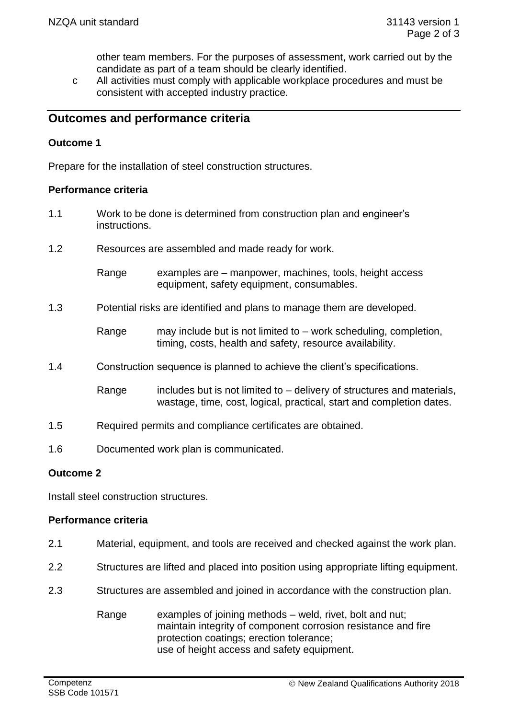other team members. For the purposes of assessment, work carried out by the candidate as part of a team should be clearly identified.

c All activities must comply with applicable workplace procedures and must be consistent with accepted industry practice.

# **Outcomes and performance criteria**

## **Outcome 1**

Prepare for the installation of steel construction structures.

### **Performance criteria**

- 1.1 Work to be done is determined from construction plan and engineer's instructions.
- 1.2 Resources are assembled and made ready for work.
	- Range examples are manpower, machines, tools, height access equipment, safety equipment, consumables.
- 1.3 Potential risks are identified and plans to manage them are developed.
	- Range may include but is not limited to work scheduling, completion, timing, costs, health and safety, resource availability.
- 1.4 Construction sequence is planned to achieve the client's specifications.
	- Range includes but is not limited to  $-$  delivery of structures and materials, wastage, time, cost, logical, practical, start and completion dates.
- 1.5 Required permits and compliance certificates are obtained.
- 1.6 Documented work plan is communicated.

# **Outcome 2**

Install steel construction structures.

### **Performance criteria**

- 2.1 Material, equipment, and tools are received and checked against the work plan.
- 2.2 Structures are lifted and placed into position using appropriate lifting equipment.
- 2.3 Structures are assembled and joined in accordance with the construction plan.
	- Range examples of joining methods weld, rivet, bolt and nut; maintain integrity of component corrosion resistance and fire protection coatings; erection tolerance; use of height access and safety equipment.